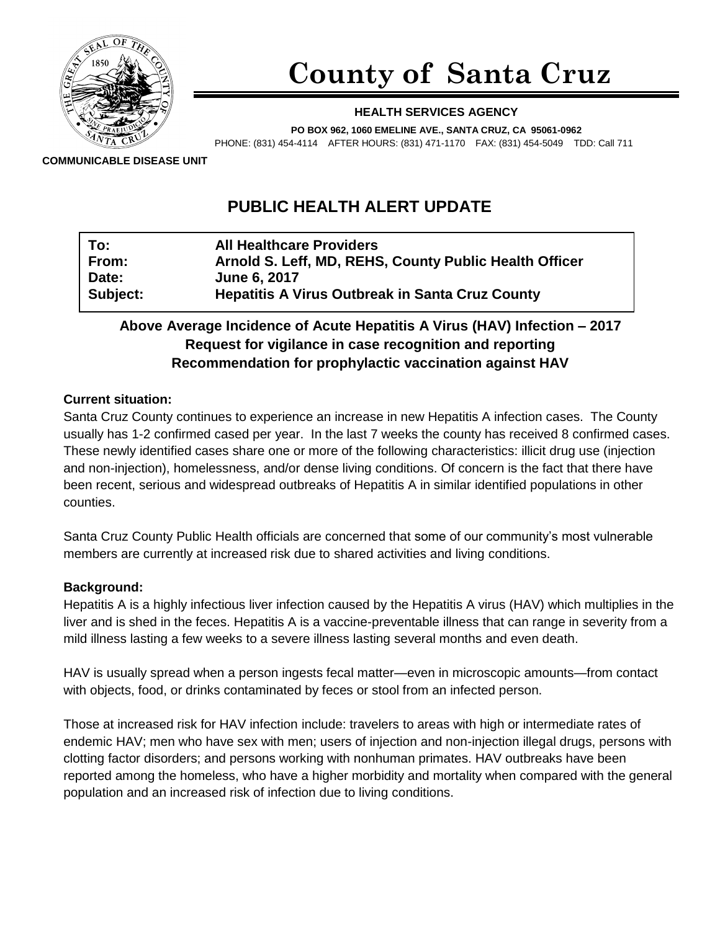

# **County of Santa Cruz**

## **HEALTH SERVICES AGENCY**

**PO BOX 962, 1060 EMELINE AVE., SANTA CRUZ, CA 95061-0962**

PHONE: (831) 454-4114 AFTER HOURS: (831) 471-1170 FAX: (831) 454-5049 TDD: Call 711

**COMMUNICABLE DISEASE UNIT**

# **PUBLIC HEALTH ALERT UPDATE**

| To:             | <b>All Healthcare Providers</b>                        |
|-----------------|--------------------------------------------------------|
| From:           | Arnold S. Leff, MD, REHS, County Public Health Officer |
| Date:           | <b>June 6, 2017</b>                                    |
| <b>Subject:</b> | <b>Hepatitis A Virus Outbreak in Santa Cruz County</b> |

# **Above Average Incidence of Acute Hepatitis A Virus (HAV) Infection – 2017 Request for vigilance in case recognition and reporting Recommendation for prophylactic vaccination against HAV**

## **Current situation:**

Santa Cruz County continues to experience an increase in new Hepatitis A infection cases. The County usually has 1-2 confirmed cased per year. In the last 7 weeks the county has received 8 confirmed cases. These newly identified cases share one or more of the following characteristics: illicit drug use (injection and non-injection), homelessness, and/or dense living conditions. Of concern is the fact that there have been recent, serious and widespread outbreaks of Hepatitis A in similar identified populations in other counties.

Santa Cruz County Public Health officials are concerned that some of our community's most vulnerable members are currently at increased risk due to shared activities and living conditions.

#### **Background:**

Hepatitis A is a highly infectious liver infection caused by the Hepatitis A virus (HAV) which multiplies in the liver and is shed in the feces. Hepatitis A is a vaccine-preventable illness that can range in severity from a mild illness lasting a few weeks to a severe illness lasting several months and even death.

HAV is usually spread when a person ingests fecal matter—even in microscopic amounts—from contact with objects, food, or drinks contaminated by feces or stool from an infected person.

Those at increased risk for HAV infection include: travelers to areas with high or intermediate rates of endemic HAV; men who have sex with men; users of injection and non-injection illegal drugs, persons with clotting factor disorders; and persons working with nonhuman primates. HAV outbreaks have been reported among the homeless, who have a higher morbidity and mortality when compared with the general population and an increased risk of infection due to living conditions.